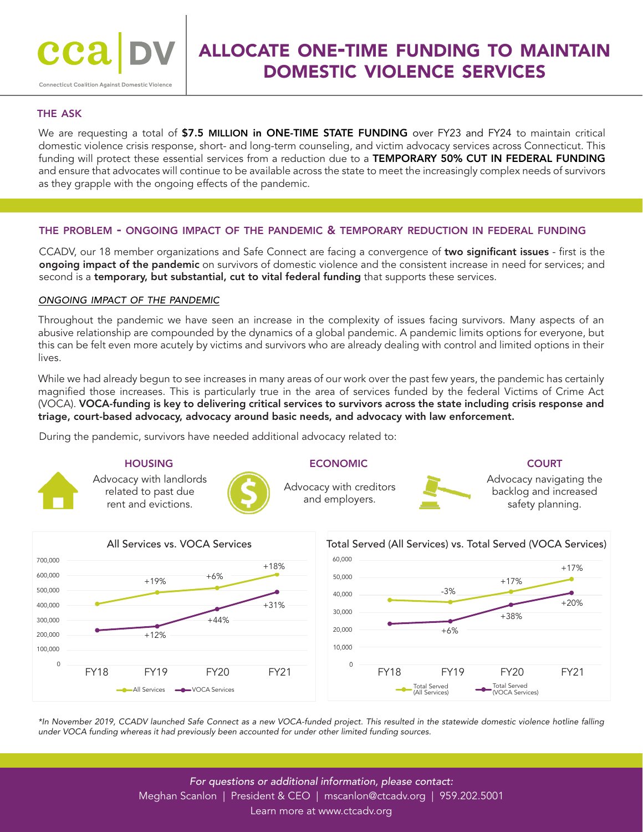# allocate one-time funding to maintain domestic violence services

## the ask

We are requesting a total of \$7.5 MILLION in ONE-TIME STATE FUNDING over FY23 and FY24 to maintain critical domestic violence crisis response, short- and long-term counseling, and victim advocacy services across Connecticut. This funding will protect these essential services from a reduction due to a TEMPORARY 50% CUT IN FEDERAL FUNDING and ensure that advocates will continue to be available across the state to meet the increasingly complex needs of survivors as they grapple with the ongoing effects of the pandemic.

### the problem - ongoing impact of the pandemic & temporary reduction in federal funding

CCADV, our 18 member organizations and Safe Connect are facing a convergence of two significant issues - first is the ongoing impact of the pandemic on survivors of domestic violence and the consistent increase in need for services; and second is a temporary, but substantial, cut to vital federal funding that supports these services.

#### *ongoing impact of the pandemic*

Throughout the pandemic we have seen an increase in the complexity of issues facing survivors. Many aspects of an abusive relationship are compounded by the dynamics of a global pandemic. A pandemic limits options for everyone, but this can be felt even more acutely by victims and survivors who are already dealing with control and limited options in their lives.

While we had already begun to see increases in many areas of our work over the past few years, the pandemic has certainly magnified those increases. This is particularly true in the area of services funded by the federal Victims of Crime Act (VOCA). VOCA-funding is key to delivering critical services to survivors across the state including crisis response and triage, court-based advocacy, advocacy around basic needs, and advocacy with law enforcement.

During the pandemic, survivors have needed additional advocacy related to:

#### **HOUSING**



Advocacy with landlords related to past due rent and evictions.

# **ECONOMIC**

Advocacy with creditors and employers.



Advocacy navigating the backlog and increased safety planning.



*\*In November 2019, CCADV launched Safe Connect as a new VOCA-funded project. This resulted in the statewide domestic violence hotline falling under VOCA funding whereas it had previously been accounted for under other limited funding sources.*